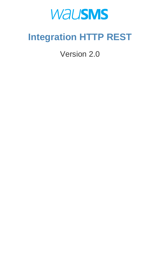# **WAUSMS**

## **Integration HTTP REST**

Version 2.0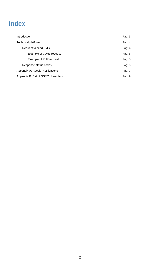| Example of PHP request             | Pag: $5$ |
|------------------------------------|----------|
| Response status codes              | Pag: $5$ |
| Appendix A: Receipt notifications  | Pag: 7   |
| Appendix B: Set of GSM7 characters | Pag: $9$ |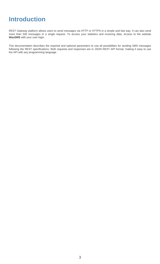## **Introduction**

REST Gateway platform allows users to send messages via HTTP or HTTPS in a simple and fast way. It can also send more than 500 messages in a single request. To access your statistics and invoicing data, Access to the website **WauSMS** with your user login.

This documentation describes the required and optional parameters to use all possibilities for sending SMS messages following the REST specifications. Both requests and responses are in JSON REST API format, making it easy to use the API with any programming language .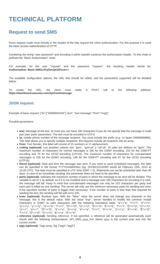## **TECHNICAL PLATFORM**

### **Request to send SMS**

Every request made must include in the header of the http request the client authentication. For this purpose it is used the basic access authentication of HTTP.

Combining the string "user password" and encoding it within base64 construct the authorization header. To this chain is prefixed the "Basic Authorization" chain

For example, for the user "myuser" and the password "mypass", the resulting header would be: **Authorization: Basic bWl1c2VyOm1pcGFzcw==**

The available configuration options, the URL that should be called, and the parameters supported will be detailed below.

To create the URL, the client must make a POST call to the following address: **https://dashboard.wausms.com/Api/rest/message**

#### **JSON request:**

Example of basic request: {"to":["34666555444"],"text": "text message","from":"msg"}

Possible parameters:

- **text:** Message of the text. At most you can have 160 characters if you do not specify that the message is multipart (see 'parts' parameter). The text must be encoded in UTF-8
- **to:** mobile phone number of the message recipient. You must include the prefix (e.g.: In Spain 34666666666). This field allows you to specify multiple recipients; this requires include all recipients into an array.
- **from:** Text Sender, this label will consist of 15 numbers or 11 alphanumeric.
- **coding (optional):** Los posibles valores son "gsm", "gsm-pt" y "utf-16". El valor por defecto es "gsm". The maximum number of characters for normal messages is 160 for the GSM7 encoding, 155 for the GSM-PT encoding and 70 for the UCS2 encoding (UTF16). The maximum number of characters for concatenated messages is 155 for the GSM7 encoding, 149 for the GSM-PT encoding and 67 for the UCS2 encoding (UTF16).
- **fSend (optional):** Date and time the message was sent. If you need to send scheduled messages, the date can be specified in the format YYYYmmddHHiiss (eg: 20130215142000 would be February 15th, 2013 at 14:20 UTC). The date must be specified in UTC time (GMT + 0). Shipments can not be scheduled later than 30 days. In case of an immediate sending, this parameter does not have to be specified.
- **parts (optional):** Indicates the maximum number of parts in which the message to be sent will be divided. This variable is set to 1 by default, so if it is not modified and a message over 160 characters for encoding 0 is sent, the message will fail. Keep in mind that concatenated messages can only be 153 characters per party and each part is billed as one sending. The server will only use the minimum necessary parts for sending text even if the specified number of parts is bigger than necessary. If the number of parts is less than that required for sending the text, the sending will fail with error 105.
- **trsec (optional):** Boolean type. With the "false" value the server does not change any character in the message; this is the default value. With the value "true", server handles to modify the common invalid characters in GSM7 to valid characters with the following translation table: "á"=>"a", "í"=>"i", "ó"=>"o", "ú"=>"u", "ç"=>"Ç", "Á"=>"A", "Í"=>"I", "Ó"=>"O", "Ú"=>"U", "À"=>"A", "È"=>"E", "Ì"=>"I", "Ò"=>"O", "Ù"=>"U", "o"=>"", "a"=>"", "Õ"=>"O", "õ"=>"o", "â"=>"a", "ê"=>"e", "î"=>"i", "ô"=>"o", "û"=>"u", "Â"=>"A", "Ê"=>"E", "Î"=>"I", "Ô"=>"O", "Û"=>"U", "ã"=>"a", "Ã"=>"A".
- **reference (optional):** Sending reference. If not specified, a reference will be generated automatically each month with the following nomenclature: API\_SMS\_yyyy\_mm where yyyy is the current year and mm the current month.
- **tags (optional):** Tags array. Eg: ["tag1","tag2"]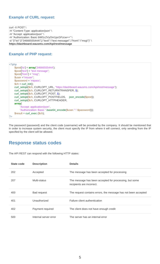#### **Example of CURL request:**

```
curl -X POST \
-H "Content-Type: application/json" \
-H "Accept: application/json" \
-H "Authorization: Basic bWl1c2VyOm1pcGFzcw==" \
-d "{\"to\":[\"34666555444\"],\"text\":\"text message\",\"from\":\"msg\"}" \
https://dashboard.wausms.com/Api/rest/message
```
#### **Example of PHP request:**

```
<?php
    $post['to'] = array('34666555444'); 
    $post['text'] = "text message"; 
    $post['from'] = "msg"; 
    $user ="miuser"; 
    $password = 'mipass'; 
    $ch = curl_init();
    curl_setopt($ch, CURLOPT_URL, "https://dashboard.wausms.com/Api/rest/message"); 
    curl_setopt($ch, CURLOPT_RETURNTRANSFER, 1); 
    curl_setopt($ch, CURLOPT_POST, 1); 
    curl_setopt($ch, CURLOPT_POSTFIELDS, json_encode($post)); 
    curl_setopt($ch, CURLOPT_HTTPHEADER, 
    array( 
        "Accept: application/json", 
        "Authorization: Basic ".base64_encode($user.":".$password)));
    $result = curl\_exec ($ch);
|?
```
The password (password) and the client code (username) will be provided by the company. It should be mentioned that in order to increase system security, the client must specify the IP from where it will connect, only sending from the IP specified by the client will be allowed.

#### **Response status codes**

The API REST can respond with the following HTTP states:

| State code | <b>Description</b>    | <b>Details</b>                                                                      |
|------------|-----------------------|-------------------------------------------------------------------------------------|
| 202        | Accepted              | The message has been accepted for processing                                        |
| 207        | Multi-status          | The message has been accepted for processing, but some<br>recipients are incorrect. |
| 400        | <b>Bad request</b>    | The request contains errors, the message has not been accepted                      |
| 401        | Unauthorized          | Failure client authentication                                                       |
| 402        | Payment required      | The client does not have enough credit                                              |
| 500        | Internal server error | The server has an internal error                                                    |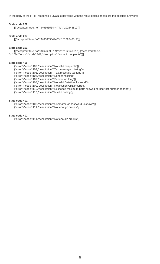In the body of the HTTP response a JSON is delivered with the result details; these are the possible answers:

#### **State code 202:**

[{"accepted":true,"to":"34666555444","id":"102648819"}]

#### **State code 207:**

[{"accepted":true,"to":"34666555444","id":"102648819"}]

#### **State code 202:**

[{"accepted":true,"to":"34626690739","id":"102648820"},{"accepted":false, "to":"34","error":{"code":102,"description":"No valid recipients"}}]

#### **State code 400:**

{"error":{"code":102,"description":"No valid recipients"}}

{"error":{"code":104,"description":"Text message missing"}}

{"error":{"code":105,"description":"Text message too long"}}

{"error":{"code":106,"description":"Sender missing"}}

{"error":{"code":107,"description":"Sender too long"}}

{"error":{"code":108,"description":"No valid Datetime for send"}}

{"error":{"code":109,"description":"Notification URL incorrect"}}

{"error":{"code":110,"description":"Exceeded maximum parts allowed or incorrect number of parts"}}

{"error":{"code":113,"description":"Invalid coding"}}

#### **State code 401:**

{"error":{"code":103,"description":"Username or password unknown"}} {"error":{"code":111,"description":"Not enough credits"}}

#### **State code 402:**

{"error":{"code":111,"description":"Not enough credits"}}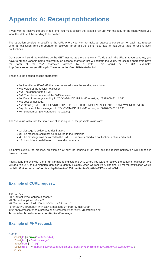## **Appendix A: Receipt notifications**

If you want to receive the dlrs in real time you must specify the variable "dlr-url" with the URL of the client where you want the status of the sending to be notified.

The operation consists in specifying the URL where you want to make a request to our server for each http request when a notification from the operator is received. To do this the client must have an http server able to receive such notifications.

Our server will send the variables by the GET method as the client wants. To do that in the URL that you send us, you have to put the variable name followed by an escape character that will contain the value, the escape characters have the form of the "%" character followed by a letter. This would be a URL example: **http://mi.server.com/notifica.php?remitente=%p&tel=%P&estado=%d**

These are the defined escape characters:

- **%i** Identifier of **WauSMS** that was delivered when the sending was done.
- **%d** Value of the receipt notification.
- **%p** The sender of the SMS.
- **%P** The phone number of the SMS receiver.
- **%t** Date of message sending in "YYYY-MM-DD HH: MM" format, eg, "1999-09-21 14:18".
- **%c** cost of message.
- **%s** status (REJECTD, DELIVRD, EXPIRED, DELETED, UNDELIV, ACCEPTD, UNKNOWN, RECEIVED).
- **%y** dlr date of the message with "YYYY-MM-DD HH:MM" format, ex. "2020-09-21 14:19".
- **%n** part number (concatenated messages).

The %d value will return the final state of sending to us, the possible values are:

- **1:** Message is delivered to destination.
- **2:** The message could not be delivered to the recipient.
- **4:** The message was delivered to the SMSC, it is an intermediate notification, not an end result
- **16:** It could not be delivered to the ending operator

To better explain the process, an example of how the sending of an sms and the receipt notification will happen is provided below.

Firstly, send the sms with the dlr-url variable to indicate the URL where you want to receive the sending notification. We will add this URL to our dispatch identifier to identify it clearly when we receive it. The final url for the notification would be: **http://mi.server.com/notifica.php?idenvio=123&remitente=%p&tel=%P&estado=%d**

#### **Example of CURL request:**

```
curl -X POST \
-H "Content-Type: application/json" \
-H "Accept: application/json" \
-H "Authorization: Basic bWl1c2VyOm1pcGFzcw==" \
-d "{\"to\":[\"34666555444\"],\"text\":\"message \",\"from\":\"msg\",\"dlr-
url\":\"http://mi.server.com/notifica.php?remitente=%p&tel=%P&estado=%d\"}" \
https://dashboard.wausms.com/Api/rest/message
```
#### **Example of PHP request:**

<?php

```
$post['to'] = array('34666555444'); 
$post['text'] = "text message"; 
$post['from'] = "msg"; 
$post['dlr-url'] = "http://mi.server.com/notifica.php?idenvio=7584&remitente=%p&tel=%P&estado=%d"; 
$user
```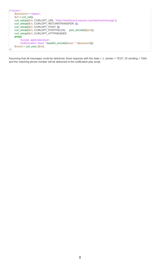```
="miuser"; 
    $password = 'mipass'; 
    $ch = curl_init();
    curl_setopt($ch, CURLOPT_URL, "https://dashboard.wausms.com/Api/rest/message"); 
    curl_setopt($ch, CURLOPT_RETURNTRANSFER, 1); 
    curl_setopt($ch, CURLOPT_POST, 1); 
    curl_setopt($ch, CURLOPT_POSTFIELDS, json_encode($post)); 
    curl_setopt($ch, CURLOPT_HTTPHEADER, 
    array( 
        "Accept: application/json", 
        "Authorization: Basic ".base64_encode($user.":".$password)));
    $result = curl\_exec ($ch);|2>
```
Assuming that all messages could be delivered, three requests with the state = 1, sender = TEST, ID sending = 7584, and the matching phone number will be delivered to the notification.php script.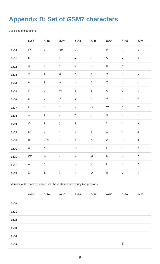## **Appendix B: Set of GSM7 characters**

Basic set of characters

|      | 0x00                                      | 0x10             | 0x20                       | 0x30                      | 0x40                                                                                                       | 0x50            | 0x60         | 0x70          |
|------|-------------------------------------------|------------------|----------------------------|---------------------------|------------------------------------------------------------------------------------------------------------|-----------------|--------------|---------------|
| 0x00 | $^{\textregistered}$                      | $\overline{?}$   | $\ensuremath{\mathsf{SP}}$ | $\mathsf{O}\xspace$       | $\mathbf{i}$                                                                                               | $\sf P$         | i            | p             |
| 0x01 | $\pounds$                                 | $\frac{1}{2}$    | L                          | $\mathbf{1}$              | $\mathsf A$                                                                                                | $\mathsf Q$     | $\mathsf a$  | $\mathtt{q}$  |
| 0x02 | $\, \, \raisebox{12pt}{$\scriptstyle \$}$ | $\tilde{?}$      | $\blacksquare$             | $\overline{2}$            | $\mathsf B$                                                                                                | $\sf B$         | $\sf b$      | $\mathsf{r}$  |
| 0x03 | ¥                                         | $\tilde{?}$      | $\#$                       | $\ensuremath{\mathsf{3}}$ | $\mathsf C$                                                                                                | $\mathsf S$     | $\mathtt{C}$ | $\mathsf S$   |
| 0x04 | è                                         | $\tilde{?}$      | $\boxtimes$                | $\overline{4}$            | $\mathsf D$                                                                                                | $\top$          | ${\sf d}$    | $\mathfrak t$ |
| 0x05 | $\acute{\text e}$                         | $\tilde{?}$      | $\%$                       | $\sqrt{5}$                | E                                                                                                          | $\cup$          | $\mathsf e$  | $\sf U$       |
| 0x06 | ù                                         | $\overline{?}$   | $\tilde{?}$                | $\,$ 6 $\,$               | F                                                                                                          | $\vee$          | $\mathsf f$  | $\mathsf V$   |
| 0x07 | ì                                         | $\tilde{?}$      | $\mathbf{r}$               | $\overline{7}$            | ${\mathsf G}$                                                                                              | ${\sf W}$       | $\mathsf g$  | ${\sf W}$     |
| 0x08 | ò                                         | $\ddot{?}$       | $\overline{(\ }$           | $\,8\,$                   | $\boldsymbol{\mathsf{H}}$                                                                                  | $\mathsf X$     | $\sf h$      | $\mathsf X$   |
| 0x09 | Ç                                         | $\tilde{?}$      | $\left( \right)$           | $\hbox{9}$                | $\mathsf{L}$                                                                                               | $\sf Y$         | $\mathbf{i}$ | У             |
| 0x0A | LF                                        | $\overline{?}$   | $\star$                    | ÷.                        | $\mathsf J$                                                                                                | $\mathsf Z$     | j            | $\mathsf Z$   |
| 0x0B | Ø                                         | ${\sf ESC}$      | $\boldsymbol{+}$           | $\vdots$                  | $\sf K$                                                                                                    | Ä               | $\sf k$      | ä             |
| 0x0C | Ø                                         | Æ                |                            | $\,<$                     | L                                                                                                          | Ö               | $\mathsf{L}$ | ö             |
| 0x0D | ${\sf CR}$                                | æ                | ÷,                         | $\!=$                     | $\mathsf{M}% _{T}=\mathsf{M}_{T}\!\left( a,b\right) ,\ \mathsf{M}_{T}=\mathsf{M}_{T}\!\left( a,b\right) ,$ | $\tilde{\rm N}$ | ${\sf m}$    | ñ             |
| 0x0E | Å                                         | $\, {\mathbb S}$ | t,                         | $\,>$                     | ${\sf N}$                                                                                                  | Ü               | $\mathsf n$  | ü             |
| 0x0F | $\mathring{\mathsf{a}}$                   | É                | $\sqrt{2}$                 | $\overline{?}$            | $\bigcirc$                                                                                                 | $\S$            | $\mathsf{o}$ | à             |

Extension of the basic character set, these characters occupy two positions

|      | 0x00 | 0x10     | 0x20 | 0x30 | 0x40 | 0x50 | 0x60 | 0x70 |
|------|------|----------|------|------|------|------|------|------|
| 0x00 |      |          |      |      |      |      |      |      |
| 0x01 |      |          |      |      |      |      |      |      |
| 0x02 |      |          |      |      |      |      |      |      |
| 0x03 |      |          |      |      |      |      |      |      |
| 0x04 |      | $\wedge$ |      |      |      |      |      |      |
| 0x05 |      |          |      |      |      |      | €    |      |